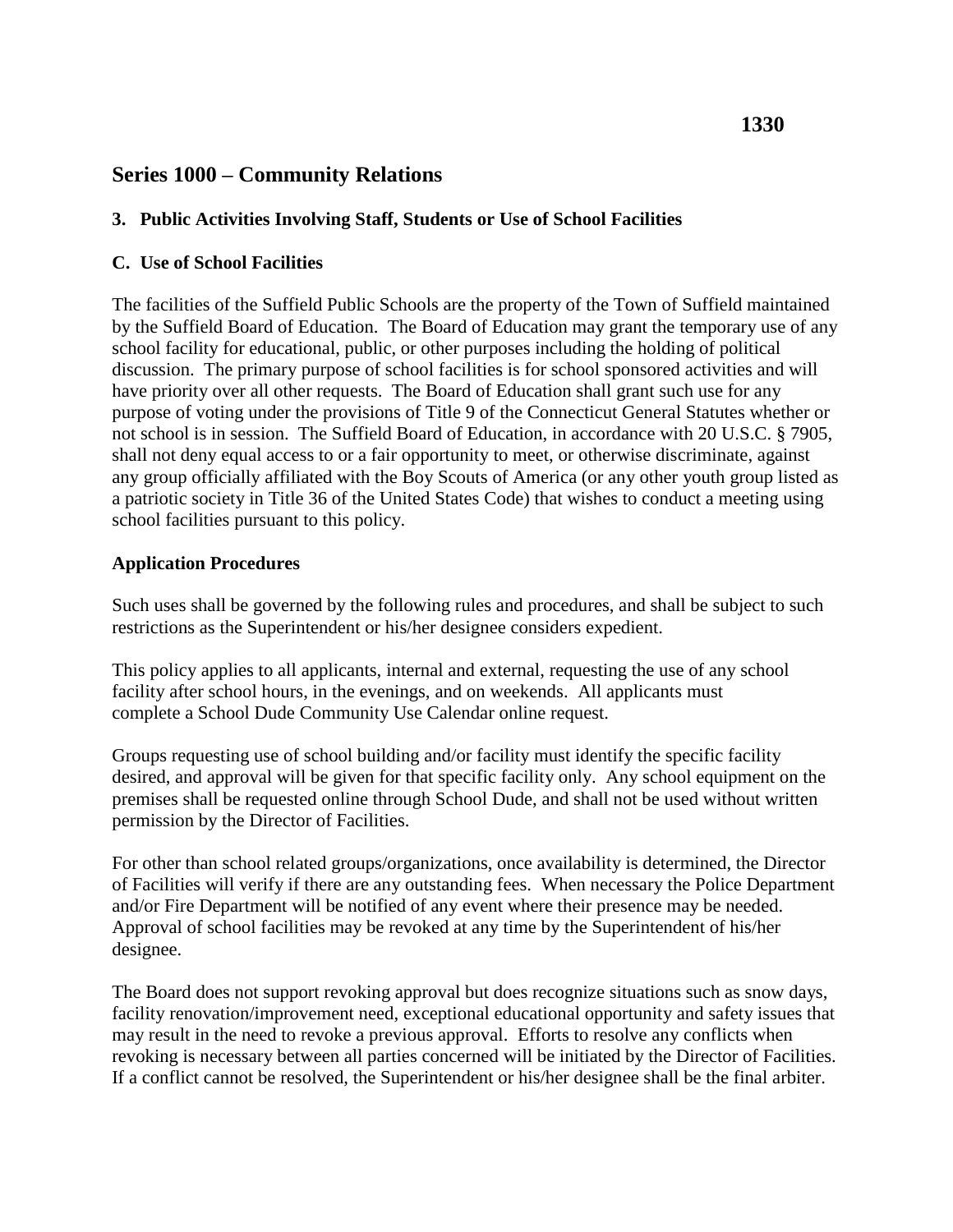# **Series 1000 – Community Relations**

## **3. Public Activities Involving Staff, Students or Use of School Facilities**

### **C. Use of School Facilities**

The facilities of the Suffield Public Schools are the property of the Town of Suffield maintained by the Suffield Board of Education. The Board of Education may grant the temporary use of any school facility for educational, public, or other purposes including the holding of political discussion. The primary purpose of school facilities is for school sponsored activities and will have priority over all other requests. The Board of Education shall grant such use for any purpose of voting under the provisions of Title 9 of the Connecticut General Statutes whether or not school is in session. The Suffield Board of Education, in accordance with 20 U.S.C. § 7905, shall not deny equal access to or a fair opportunity to meet, or otherwise discriminate, against any group officially affiliated with the Boy Scouts of America (or any other youth group listed as a patriotic society in Title 36 of the United States Code) that wishes to conduct a meeting using school facilities pursuant to this policy.

### **Application Procedures**

Such uses shall be governed by the following rules and procedures, and shall be subject to such restrictions as the Superintendent or his/her designee considers expedient.

This policy applies to all applicants, internal and external, requesting the use of any school facility after school hours, in the evenings, and on weekends. All applicants must complete a School Dude Community Use Calendar online request.

Groups requesting use of school building and/or facility must identify the specific facility desired, and approval will be given for that specific facility only. Any school equipment on the premises shall be requested online through School Dude, and shall not be used without written permission by the Director of Facilities.

For other than school related groups/organizations, once availability is determined, the Director of Facilities will verify if there are any outstanding fees. When necessary the Police Department and/or Fire Department will be notified of any event where their presence may be needed. Approval of school facilities may be revoked at any time by the Superintendent of his/her designee.

The Board does not support revoking approval but does recognize situations such as snow days, facility renovation/improvement need, exceptional educational opportunity and safety issues that may result in the need to revoke a previous approval. Efforts to resolve any conflicts when revoking is necessary between all parties concerned will be initiated by the Director of Facilities. If a conflict cannot be resolved, the Superintendent or his/her designee shall be the final arbiter.